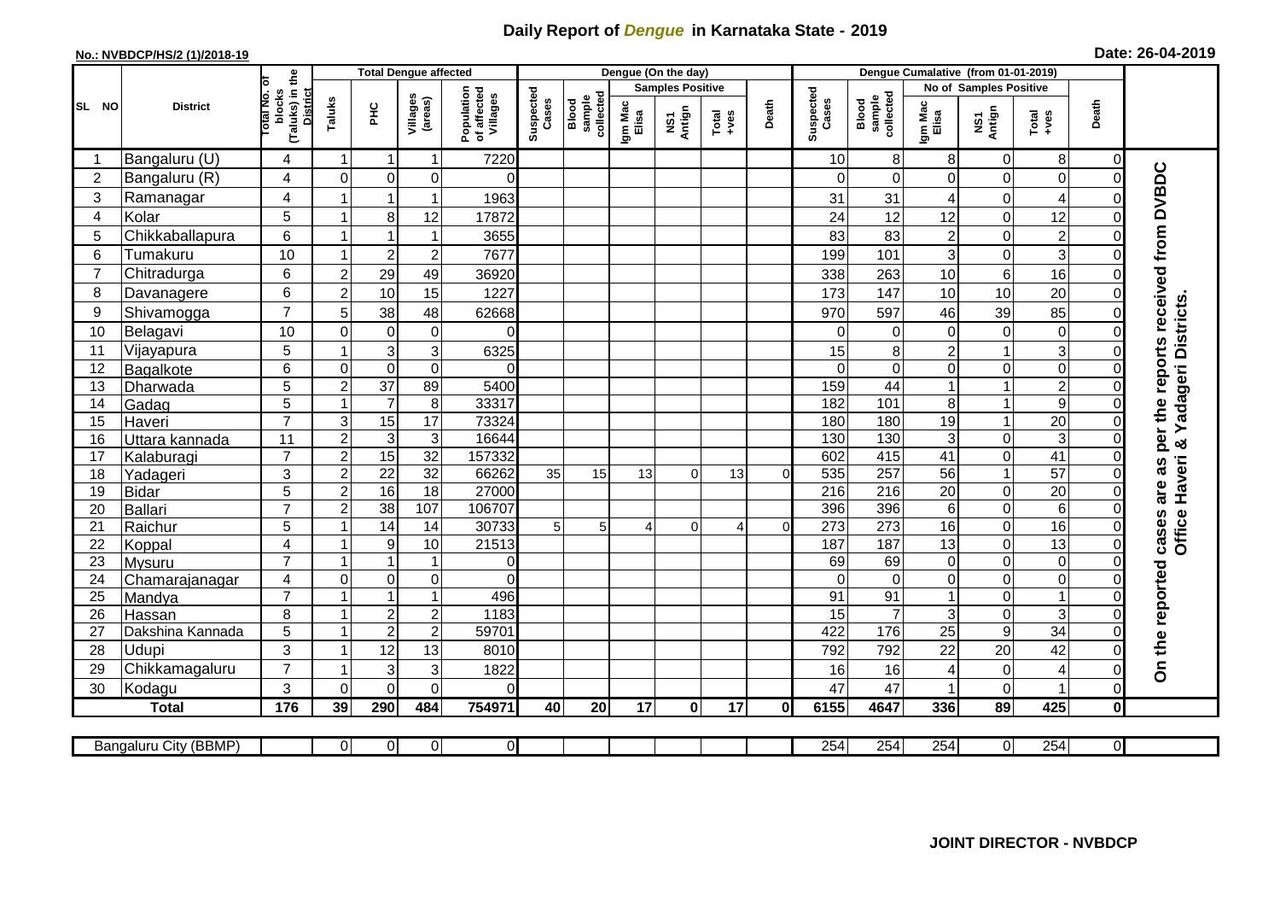## **Daily Report of** *Dengue* **in Karnataka State - 2019**

## **No.: NVBDCP/HS/2 (1)/2018-19 Date: 26-04-2019**

|                                                                                                                                                               | <b>District</b>  |                                                             | <b>Total Dengue affected</b> |                  |                     |                                       |                    |                              | Dengue (On the day)     |               |         |          |                    |                              |                        |                  |                                           |                      |                                            |
|---------------------------------------------------------------------------------------------------------------------------------------------------------------|------------------|-------------------------------------------------------------|------------------------------|------------------|---------------------|---------------------------------------|--------------------|------------------------------|-------------------------|---------------|---------|----------|--------------------|------------------------------|------------------------|------------------|-------------------------------------------|----------------------|--------------------------------------------|
|                                                                                                                                                               |                  |                                                             |                              |                  |                     |                                       |                    |                              | <b>Samples Positive</b> |               |         |          |                    |                              | No of Samples Positive |                  |                                           |                      |                                            |
| SL NO                                                                                                                                                         |                  | (Taluks) in the<br>otal No. of<br>blocks<br><b>District</b> | Taluks                       | Ξ                | Villages<br>(areas) | Population<br>of affected<br>Villages | Suspected<br>Cases | sample<br>collected<br>Blood | Igm Mac<br>Elisa        | NS1<br>Antign | $Total$ | Death    | Suspected<br>Cases | collected<br>sample<br>Blood | Igm Mac<br>Elisa       | NS1<br>Antign    | $Tota$<br>$+ves$                          | Death                |                                            |
|                                                                                                                                                               | Bangaluru (U)    | 4                                                           | -1                           | -1               | 1                   | 7220                                  |                    |                              |                         |               |         |          | 10                 | 8                            | 8                      | 0                | 8                                         | 0                    |                                            |
| $\overline{2}$                                                                                                                                                | Bangaluru (R)    | 4                                                           | $\mathbf 0$                  | $\mathbf 0$      | $\mathbf 0$         | $\Omega$                              |                    |                              |                         |               |         |          | $\Omega$           | $\mathbf 0$                  | $\Omega$               | 0                | $\mathsf{O}\xspace$                       | $\mathbf 0$          |                                            |
| 3                                                                                                                                                             | Ramanagar        | 4                                                           |                              |                  | 1                   | 1963                                  |                    |                              |                         |               |         |          | 31                 | 31                           | 4                      | 0                | $\overline{4}$                            | $\Omega$             | are as per the reports received from DVBDC |
| $\overline{4}$                                                                                                                                                | Kolar            | 5                                                           |                              | 8                | 12                  | 17872                                 |                    |                              |                         |               |         |          | 24                 | 12                           | 12                     | $\mathbf 0$      | 12                                        | $\mathbf 0$          |                                            |
| 5                                                                                                                                                             | Chikkaballapura  | $6\phantom{1}$                                              | $\overline{1}$               |                  | $\mathbf{1}$        | 3655                                  |                    |                              |                         |               |         |          | 83                 | 83                           | $\overline{c}$         | 0                | $\overline{2}$                            | $\mathbf 0$          |                                            |
| 6                                                                                                                                                             | Tumakuru         | 10                                                          |                              | $\overline{2}$   | $\overline{c}$      | 7677                                  |                    |                              |                         |               |         |          | 199                | 101                          | 3                      | 0                | 3                                         | $\Omega$             |                                            |
| $\overline{7}$                                                                                                                                                | Chitradurga      | $6\phantom{1}$                                              | $\overline{2}$               | 29               | 49                  | 36920                                 |                    |                              |                         |               |         |          | 338                | 263                          | 10                     | $\,6$            | 16                                        | $\Omega$             |                                            |
| 8                                                                                                                                                             | Davanagere       | $6\phantom{1}$                                              | $\overline{2}$               | 10               | 15                  | 1227                                  |                    |                              |                         |               |         |          | 173                | 147                          | 10                     | 10               | 20                                        | $\Omega$             |                                            |
| 9                                                                                                                                                             | Shivamogga       | $\overline{7}$                                              | 5                            | 38               | 48                  | 62668                                 |                    |                              |                         |               |         |          | 970                | 597                          | 46                     | 39               | 85                                        | $\Omega$             | adageri Districts                          |
| 10                                                                                                                                                            | Belagavi         | 10                                                          | $\Omega$                     | $\mathbf 0$      | $\mathbf 0$         | $\Omega$                              |                    |                              |                         |               |         |          | $\Omega$           | $\Omega$                     | $\Omega$               | $\mathbf 0$      | $\mathbf 0$                               | $\Omega$             |                                            |
| 11                                                                                                                                                            | Vijayapura       | 5                                                           |                              | 3                | 3                   | 6325                                  |                    |                              |                         |               |         |          | 15                 | 8                            | $\overline{c}$         | 1                | $\overline{3}$                            | 0                    |                                            |
| 12                                                                                                                                                            | Bagalkote        | $6\phantom{1}$                                              | $\mathbf 0$                  | $\mathbf 0$      | $\mathbf 0$         | $\Omega$                              |                    |                              |                         |               |         |          | $\Omega$           | $\overline{0}$               | $\Omega$               | 0                | $\overline{0}$                            | $\Omega$             |                                            |
| 13                                                                                                                                                            | Dharwada         | $\overline{5}$                                              | $\overline{2}$               | $\overline{37}$  | 89                  | 5400                                  |                    |                              |                         |               |         |          | 159                | 44                           |                        | 1                | $\overline{2}$                            | $\Omega$             |                                            |
| 14                                                                                                                                                            | Gadag            | 5                                                           |                              | $\overline{7}$   | $\,8\,$             | 33317                                 |                    |                              |                         |               |         |          | 182                | 101                          | 8                      | 1                | 9                                         | $\Omega$             |                                            |
| 15                                                                                                                                                            | Haveri           | $\overline{7}$                                              | 3                            | 15               | $\overline{17}$     | 73324                                 |                    |                              |                         |               |         |          | 180                | 180                          | 19                     | 1                | 20                                        | $\Omega$             | ≻                                          |
| 16                                                                                                                                                            | Uttara kannada   | 11                                                          | $\overline{2}$               | $\mathsf 3$      | 3                   | 16644                                 |                    |                              |                         |               |         |          | 130                | 130                          | 3                      | 0                | ω                                         | $\Omega$             | න්                                         |
| 17                                                                                                                                                            | Kalaburagi       | $\overline{7}$                                              | $\overline{2}$               | 15               | $\overline{32}$     | 157332                                |                    |                              |                         |               |         |          | 602                | 415                          | 41                     | 0                | 41                                        | $\Omega$             |                                            |
| 18                                                                                                                                                            | Yadageri         | 3                                                           | $\overline{2}$               | $\overline{22}$  | 32                  | 66262                                 | 35                 | 15                           | 13                      | $\Omega$      | 13      | $\Omega$ | 535                | 257                          | 56                     | $\mathbf{1}$     | $\overline{57}$                           | $\Omega$             | Haveri                                     |
| 19                                                                                                                                                            | Bidar            | 5                                                           | $\overline{2}$               | 16               | $\overline{18}$     | 27000                                 |                    |                              |                         |               |         |          | 216                | 216                          | 20                     | 0                | $\overline{20}$                           | $\mathbf 0$          |                                            |
| 20                                                                                                                                                            | Ballari          | $\overline{7}$                                              | $\overline{2}$               | 38               | 107                 | 106707                                |                    |                              |                         |               |         |          | 396                | 396                          | 6                      | 0                | $6 \overline{}$                           | $\Omega$             |                                            |
| 21                                                                                                                                                            | Raichur          | 5                                                           |                              | $\overline{14}$  | 14                  | 30733                                 | 5                  | 5                            |                         | $\Omega$      | 4       | $\Omega$ | $\overline{273}$   | $\overline{273}$             | 16                     | 0                | 16                                        | $\mathbf 0$          | Office<br>cases                            |
| 22                                                                                                                                                            | Koppal           | $\overline{4}$                                              |                              | $\boldsymbol{9}$ | 10                  | 21513                                 |                    |                              |                         |               |         |          | 187                | 187                          | 13                     | $\overline{0}$   | 13                                        | $\overline{0}$       |                                            |
| 23                                                                                                                                                            | Mysuru           | $\overline{7}$                                              |                              | -1               | 1                   | $\overline{0}$                        |                    |                              |                         |               |         |          | 69                 | 69                           | $\mathbf 0$            | 0                | $\overline{0}$                            | $\Omega$             |                                            |
| 24                                                                                                                                                            | Chamarajanagar   | $\overline{4}$                                              | $\mathbf 0$                  | $\overline{0}$   | 0                   | $\Omega$                              |                    |                              |                         |               |         |          | $\Omega$           | $\overline{0}$               | $\mathbf 0$            | 0                | $\overline{0}$                            | $\Omega$             |                                            |
| $\overline{25}$                                                                                                                                               | Mandya           | $\overline{7}$                                              |                              | $\overline{1}$   | 1                   | 496                                   |                    |                              |                         |               |         |          | 91                 | 91                           |                        | 0                | $\overline{1}$                            | 0                    |                                            |
| 26                                                                                                                                                            | Hassan           | 8                                                           | $\overline{\mathbf{1}}$      | $\sqrt{2}$       | $\overline{c}$      | 1183                                  |                    |                              |                         |               |         |          | 15                 | $\overline{7}$               | 3                      | 0                | 3                                         | $\mathbf 0$          |                                            |
| 27                                                                                                                                                            | Dakshina Kannada | $\overline{5}$                                              |                              | $\overline{2}$   | $\overline{2}$      | 59701                                 |                    |                              |                         |               |         |          | 422                | 176                          | $\overline{25}$        | $\overline{9}$   | 34                                        | $\mathbf 0$          |                                            |
| 28                                                                                                                                                            | <b>Udupi</b>     | 3<br>$\overline{7}$                                         |                              | 12               | 13                  | 8010                                  |                    |                              |                         |               |         |          | 792                | 792                          | 22                     | 20               | 42                                        | $\Omega$             | On the reported                            |
| 29                                                                                                                                                            | Chikkamagaluru   |                                                             |                              | 3                | 3<br>$\Omega$       | 1822                                  |                    |                              |                         |               |         |          | 16                 | 16                           | 4                      | 0<br>$\mathbf 0$ | $\overline{\mathbf{4}}$<br>$\overline{1}$ | $\Omega$<br>$\Omega$ |                                            |
| 30                                                                                                                                                            | Kodagu           | $\mathbf{3}$                                                | $\Omega$                     | $\Omega$         |                     | $\Omega$                              |                    |                              |                         |               |         |          | 47                 | 47                           |                        |                  | 425                                       |                      |                                            |
|                                                                                                                                                               | <b>Total</b>     | 176                                                         | 39                           | 290              | 484                 | 754971                                | 40                 | 20                           | 17                      | $\mathbf{0}$  | 17      | 0l       | 6155               | 4647                         | 336                    | 89               |                                           | $\mathbf 0$          |                                            |
| $\overline{0}$<br>$\overline{0}$<br>254<br>254<br>254<br>$\overline{0}$<br>254<br>$\overline{0}$<br>Bangaluru City (BBMP)<br>$\overline{0}$<br>$\overline{0}$ |                  |                                                             |                              |                  |                     |                                       |                    |                              |                         |               |         |          |                    |                              |                        |                  |                                           |                      |                                            |